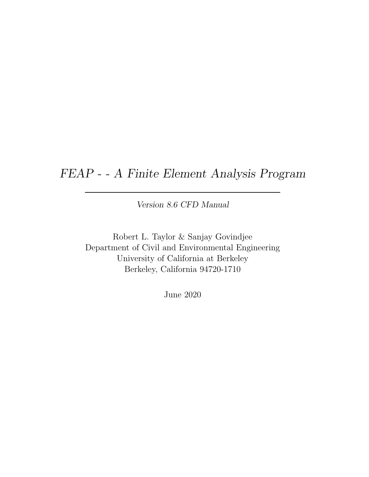## FEAP - - A Finite Element Analysis Program

Version 8.6 CFD Manual

Robert L. Taylor & Sanjay Govindjee Department of Civil and Environmental Engineering University of California at Berkeley Berkeley, California 94720-1710

June 2020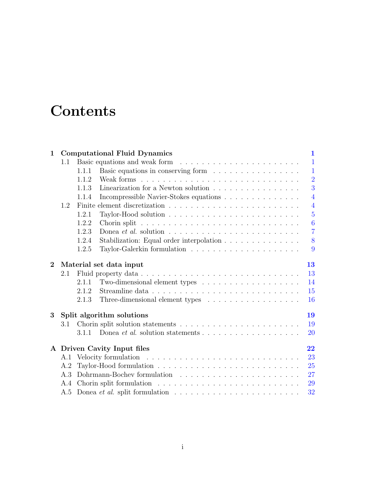# **Contents**

| $\mathbf{1}$   | <b>Computational Fluid Dynamics</b> |       |                                                                                                                                                                                                                                |                |  |  |  |  |
|----------------|-------------------------------------|-------|--------------------------------------------------------------------------------------------------------------------------------------------------------------------------------------------------------------------------------|----------------|--|--|--|--|
|                | 1.1                                 |       | Basic equations and weak form                                                                                                                                                                                                  | $\mathbf{1}$   |  |  |  |  |
|                |                                     | 1.1.1 | Basic equations in conserving form                                                                                                                                                                                             | $\mathbf{1}$   |  |  |  |  |
|                |                                     | 1.1.2 |                                                                                                                                                                                                                                | $\overline{2}$ |  |  |  |  |
|                |                                     | 1.1.3 | Linearization for a Newton solution                                                                                                                                                                                            | 3              |  |  |  |  |
|                |                                     | 1.1.4 | Incompressible Navier-Stokes equations                                                                                                                                                                                         | $\overline{4}$ |  |  |  |  |
|                | 1.2                                 |       |                                                                                                                                                                                                                                | $\overline{4}$ |  |  |  |  |
|                |                                     | 1.2.1 |                                                                                                                                                                                                                                | $\overline{5}$ |  |  |  |  |
|                |                                     | 1.2.2 |                                                                                                                                                                                                                                | 6              |  |  |  |  |
|                |                                     | 1.2.3 | Donea et al. solution $\ldots \ldots \ldots \ldots \ldots \ldots \ldots \ldots$                                                                                                                                                | $\overline{7}$ |  |  |  |  |
|                |                                     | 1.2.4 | Stabilization: Equal order interpolation                                                                                                                                                                                       | 8              |  |  |  |  |
|                |                                     | 1.2.5 | Taylor-Galerkin formulation $\ldots \ldots \ldots \ldots \ldots \ldots \ldots$                                                                                                                                                 | 9              |  |  |  |  |
| $\overline{2}$ | Material set data input<br>13       |       |                                                                                                                                                                                                                                |                |  |  |  |  |
|                | 2.1                                 |       |                                                                                                                                                                                                                                | 13             |  |  |  |  |
|                |                                     | 2.1.1 |                                                                                                                                                                                                                                | 14             |  |  |  |  |
|                |                                     | 2.1.2 |                                                                                                                                                                                                                                | 15             |  |  |  |  |
|                |                                     | 2.1.3 | Three-dimensional element types                                                                                                                                                                                                | 16             |  |  |  |  |
| 3              | Split algorithm solutions<br>19     |       |                                                                                                                                                                                                                                |                |  |  |  |  |
|                | 3.1                                 |       |                                                                                                                                                                                                                                | 19             |  |  |  |  |
|                |                                     | 3.1.1 | Donea <i>et al.</i> solution statements $\ldots \ldots \ldots \ldots \ldots \ldots$                                                                                                                                            | 20             |  |  |  |  |
|                | A Driven Cavity Input files<br>22   |       |                                                                                                                                                                                                                                |                |  |  |  |  |
|                | A.1                                 |       |                                                                                                                                                                                                                                | 23             |  |  |  |  |
|                | A.2                                 |       |                                                                                                                                                                                                                                | 25             |  |  |  |  |
|                | A.3                                 |       | Dohrmann-Bochev formulation (eds) is a series of the series of the series of the series of the series of the series of the series of the series of the series of the series of the series of the series of the series of the s | 27             |  |  |  |  |
|                | A.4                                 |       |                                                                                                                                                                                                                                | 29             |  |  |  |  |
|                |                                     |       |                                                                                                                                                                                                                                | 32             |  |  |  |  |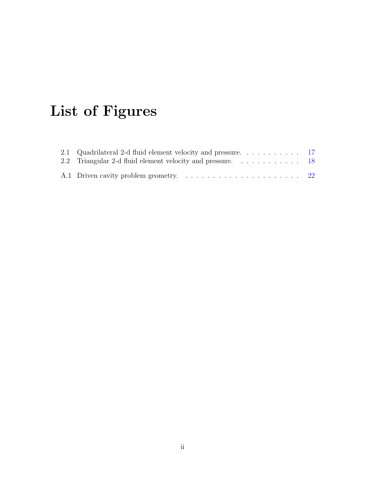# List of Figures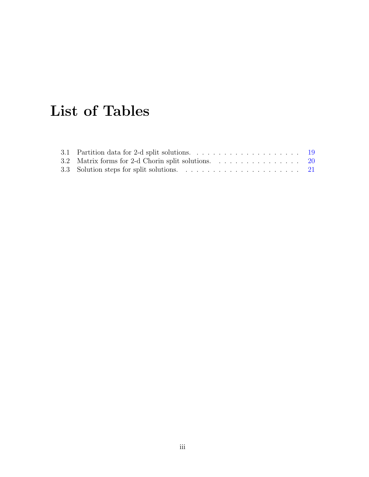# List of Tables

| 3.2 Matrix forms for 2-d Chorin split solutions. 20 |  |
|-----------------------------------------------------|--|
|                                                     |  |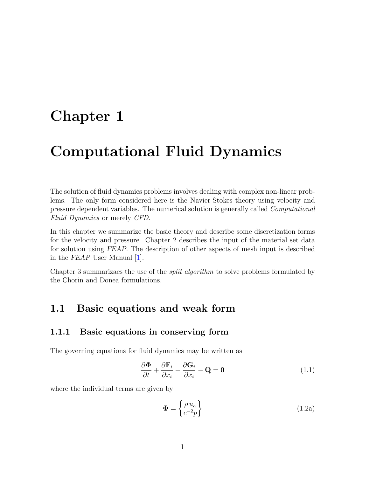## <span id="page-4-4"></span><span id="page-4-0"></span>Chapter 1

## Computational Fluid Dynamics

The solution of fluid dynamics problems involves dealing with complex non-linear problems. The only form considered here is the Navier-Stokes theory using velocity and pressure dependent variables. The numerical solution is generally called Computational Fluid Dynamics or merely CFD.

In this chapter we summarize the basic theory and describe some discretization forms for the velocity and pressure. Chapter 2 describes the input of the material set data for solution using FEAP. The description of other aspects of mesh input is described in the FEAP User Manual [\[1\]](#page-38-0).

Chapter 3 summarizaes the use of the split algorithm to solve problems formulated by the Chorin and Donea formulations.

### <span id="page-4-1"></span>1.1 Basic equations and weak form

#### <span id="page-4-2"></span>1.1.1 Basic equations in conserving form

The governing equations for fluid dynamics may be written as

<span id="page-4-3"></span>
$$
\frac{\partial \mathbf{\Phi}}{\partial t} + \frac{\partial \mathbf{F}_i}{\partial x_i} - \frac{\partial \mathbf{G}_i}{\partial x_i} - \mathbf{Q} = \mathbf{0}
$$
 (1.1)

where the individual terms are given by

$$
\mathbf{\Phi} = \begin{Bmatrix} \rho u_a \\ c^{-2} p \end{Bmatrix} \tag{1.2a}
$$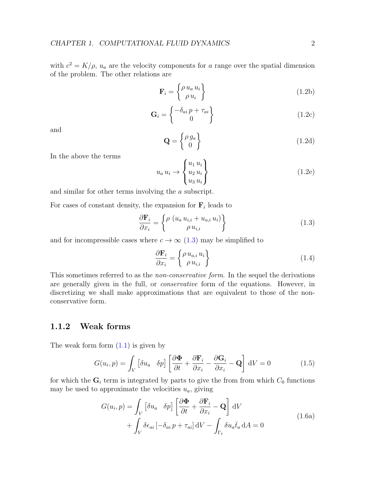<span id="page-5-3"></span>with  $c^2 = K/\rho$ ,  $u_a$  are the velocity components for a range over the spatial dimension of the problem. The other relations are

$$
\mathbf{F}_{i} = \begin{Bmatrix} \rho \, u_{a} \, u_{i} \\ \rho \, u_{i} \end{Bmatrix} \tag{1.2b}
$$

$$
\mathbf{G}_{i} = \begin{Bmatrix} -\delta_{ai} p + \tau_{ai} \\ 0 \end{Bmatrix}
$$
 (1.2c)

and

$$
\mathbf{Q} = \begin{Bmatrix} \rho \, g_a \\ 0 \end{Bmatrix} \tag{1.2d}
$$

In the above the terms

$$
u_a u_i \rightarrow \begin{Bmatrix} u_1 u_i \\ u_2 u_i \\ u_3 u_i \end{Bmatrix}
$$
 (1.2e)

and similar for other terms involving the a subscript.

For cases of constant density, the expansion for  $F_i$  leads to

<span id="page-5-1"></span>
$$
\frac{\partial \mathbf{F}_i}{\partial x_i} = \begin{Bmatrix} \rho \left( u_a u_{i,i} + u_{a,i} u_i \right) \\ \rho u_{i,i} \end{Bmatrix} \tag{1.3}
$$

and for incompressible cases where  $c \to \infty$  [\(1.3\)](#page-5-1) may be simplified to

$$
\frac{\partial \mathbf{F}_i}{\partial x_i} = \begin{Bmatrix} \rho \, u_{a,i} \, u_i \\ \rho \, u_{i,i} \end{Bmatrix} \tag{1.4}
$$

This sometimes referred to as the *non-conservative form*. In the sequel the derivations are generally given in the full, or conservative form of the equations. However, in discretizing we shall make approximations that are equivalent to those of the nonconservative form.

#### <span id="page-5-0"></span>1.1.2 Weak forms

The weak form form  $(1.1)$  is given by

$$
G(u_i, p) = \int_V \left[ \delta u_a \quad \delta p \right] \left[ \frac{\partial \Phi}{\partial t} + \frac{\partial \mathbf{F}_i}{\partial x_i} - \frac{\partial \mathbf{G}_i}{\partial x_i} - \mathbf{Q} \right] dV = 0 \tag{1.5}
$$

<span id="page-5-2"></span>for which the  $\mathbf{G}_i$  term is integrated by parts to give the from from which  $C_0$  functions may be used to approximate the velocities  $u_a$ , giving

$$
G(u_i, p) = \int_V \left[ \delta u_a \quad \delta p \right] \left[ \frac{\partial \Phi}{\partial t} + \frac{\partial \mathbf{F}_i}{\partial x_i} - \mathbf{Q} \right] dV
$$
  
+ 
$$
\int_V \delta \epsilon_{ai} \left[ -\delta_{ai} p + \tau_{ai} \right] dV - \int_{\Gamma_t} \delta u_a \bar{t}_a dA = 0
$$
 (1.6a)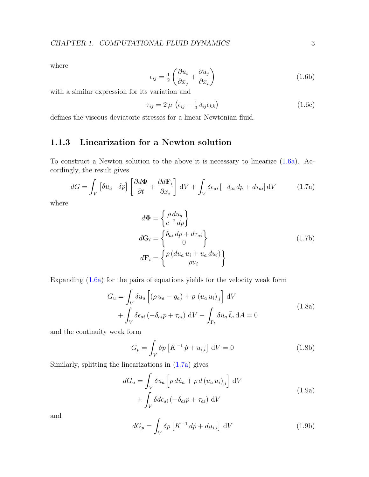<span id="page-6-4"></span>where

$$
\epsilon_{ij} = \frac{1}{2} \left( \frac{\partial u_i}{\partial x_j} + \frac{\partial u_j}{\partial x_i} \right) \tag{1.6b}
$$

with a similar expression for its variation and

$$
\tau_{ij} = 2\,\mu \, \left(\epsilon_{ij} - \frac{1}{3} \,\delta_{ij} \epsilon_{kk}\right) \tag{1.6c}
$$

defines the viscous deviatoric stresses for a linear Newtonian fluid.

### <span id="page-6-0"></span>1.1.3 Linearization for a Newton solution

To construct a Newton solution to the above it is necessary to linearize [\(1.6a\)](#page-5-2). Accordingly, the result gives

<span id="page-6-1"></span>
$$
dG = \int_{V} \left[ \delta u_a \quad \delta p \right] \left[ \frac{\partial d\Phi}{\partial t} + \frac{\partial d\mathbf{F}_i}{\partial x_i} \right] dV + \int_{V} \delta \epsilon_{ai} \left[ -\delta_{ai} dp + d\tau_{ai} \right] dV \tag{1.7a}
$$

where

$$
d\Phi = \begin{cases} \rho \, du_a \\ c^{-2} \, dp \end{cases}
$$
  
\n
$$
d\mathbf{G}_i = \begin{cases} \delta_{ai} \, dp + d\tau_{ai} \\ 0 \end{cases}
$$
  
\n
$$
d\mathbf{F}_i = \begin{cases} \rho \, (du_a \, u_i + u_a \, du_i) \\ \rho u_i \end{cases}
$$
\n(1.7b)

Expanding [\(1.6a\)](#page-5-2) for the pairs of equations yields for the velocity weak form

$$
G_u = \int_V \delta u_a \left[ (\rho \dot{u}_a - g_a) + \rho (u_a u_i)_{,i} \right] dV
$$
  
+ 
$$
\int_V \delta \epsilon_{ai} (-\delta_{ai} p + \tau_{ai}) dV - \int_{\Gamma_t} \delta u_a \bar{t}_a dA = 0
$$
 (1.8a)

and the continuity weak form

<span id="page-6-2"></span>
$$
G_p = \int_V \delta p \left[ K^{-1} \dot{p} + u_{i,i} \right] dV = 0 \qquad (1.8b)
$$

Similarly, splitting the linearizations in [\(1.7a\)](#page-6-1) gives

$$
dG_u = \int_V \delta u_a \left[ \rho \, d\dot{u}_a + \rho \, d \left( u_a u_i \right)_{,i} \right] \, dV
$$
  
+ 
$$
\int_V \delta d\epsilon_{ai} \left( -\delta_{ai} p + \tau_{ai} \right) \, dV
$$
 (1.9a)

and

<span id="page-6-3"></span>
$$
dG_p = \int_V \delta p \left[ K^{-1} \, d\dot{p} + du_{i,i} \right] \, dV \tag{1.9b}
$$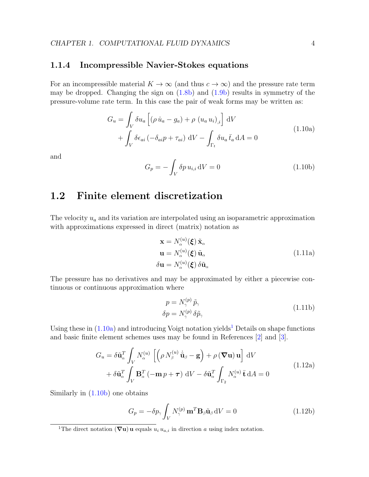#### <span id="page-7-5"></span><span id="page-7-0"></span>1.1.4 Incompressible Navier-Stokes equations

For an incompressible material  $K \to \infty$  (and thus  $c \to \infty$ ) and the pressure rate term may be dropped. Changing the sign on  $(1.8b)$  and  $(1.9b)$  results in symmetry of the pressure-volume rate term. In this case the pair of weak forms may be written as:

$$
G_u = \int_V \delta u_a \left[ (\rho \dot{u}_a - g_a) + \rho (u_a u_i)_{,i} \right] dV
$$
  
+ 
$$
\int_V \delta \epsilon_{ai} (-\delta_{ai} p + \tau_{ai}) dV - \int_{\Gamma_t} \delta u_a \bar{t}_a dA = 0
$$
 (1.10a)

<span id="page-7-2"></span>and

<span id="page-7-4"></span>
$$
G_p = -\int_V \delta p \, u_{i,i} \, \mathrm{d}V = 0 \tag{1.10b}
$$

### <span id="page-7-1"></span>1.2 Finite element discretization

The velocity  $u_a$  and its variation are interpolated using an isoparametric approximation with approximations expressed in direct (matrix) notation as

$$
\mathbf{x} = N_{\alpha}^{(u)}(\boldsymbol{\xi}) \tilde{\mathbf{x}}_{\alpha} \n\mathbf{u} = N_{\alpha}^{(u)}(\boldsymbol{\xi}) \tilde{\mathbf{u}}_{\alpha} \n\delta \mathbf{u} = N_{\alpha}^{(u)}(\boldsymbol{\xi}) \delta \tilde{\mathbf{u}}_{\alpha}
$$
\n(1.11a)

The pressure has no derivatives and may be approximated by either a piecewise continuous or continuous approximation where

$$
p = N_{\gamma}^{(p)} \tilde{p}_{\gamma} \n\delta p = N_{\gamma}^{(p)} \delta \tilde{p}_{\gamma}
$$
\n(1.11b)

Using these in  $(1.10a)$  $(1.10a)$  $(1.10a)$  and introducing Voigt notation yields<sup>1</sup> Details on shape functions and basic finite element schemes uses may be found in References [\[2\]](#page-38-1) and [\[3\]](#page-38-2).

$$
G_u = \delta \tilde{\mathbf{u}}_{\alpha}^T \int_V N_{\alpha}^{(u)} \left[ \left( \rho N_{\beta}^{(u)} \dot{\tilde{\mathbf{u}}}_{\beta} - \mathbf{g} \right) + \rho \left( \boldsymbol{\nabla} \mathbf{u} \right) \mathbf{u} \right] dV + \delta \tilde{\mathbf{u}}_{\alpha}^T \int_V \mathbf{B}_{\alpha}^T \left( -\mathbf{m} \, p + \boldsymbol{\tau} \right) dV - \delta \tilde{\mathbf{u}}_{\alpha}^T \int_{\Gamma_2} N_{\alpha}^{(u)} \, \mathbf{\bar{t}} dA = 0
$$
\n(1.12a)

Similarly in [\(1.10b\)](#page-7-4) one obtains

$$
G_p = -\delta p_\gamma \int_V N_\gamma^{(p)} \mathbf{m}^T \mathbf{B}_\beta \tilde{\mathbf{u}}_\beta \, dV = 0 \tag{1.12b}
$$

<span id="page-7-3"></span><sup>&</sup>lt;sup>1</sup>The direct notation ( $\nabla$ **u**) **u** equals  $u_i u_{a,i}$  in direction a using index notation.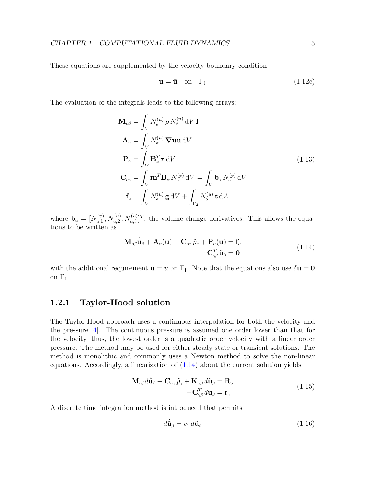<span id="page-8-2"></span>These equations are supplemented by the velocity boundary condition

$$
\mathbf{u} = \bar{\mathbf{u}} \quad \text{on} \quad \Gamma_1 \tag{1.12c}
$$

The evaluation of the integrals leads to the following arrays:

$$
\mathbf{M}_{\alpha\beta} = \int_{V} N_{\alpha}^{(u)} \rho N_{\beta}^{(u)} dV \mathbf{I}
$$
  
\n
$$
\mathbf{A}_{\alpha} = \int_{V} N_{\alpha}^{(u)} \nabla \mathbf{u} \mathbf{u} dV
$$
  
\n
$$
\mathbf{P}_{\alpha} = \int_{V} \mathbf{B}_{\alpha}^{T} \boldsymbol{\tau} dV
$$
  
\n
$$
\mathbf{C}_{\alpha\gamma} = \int_{V} \mathbf{m}^{T} \mathbf{B}_{\alpha} N_{\gamma}^{(p)} dV = \int_{V} \mathbf{b}_{\alpha} N_{\gamma}^{(p)} dV
$$
  
\n
$$
\mathbf{f}_{\alpha} = \int_{V} N_{\alpha}^{(u)} \mathbf{g} dV + \int_{\Gamma_{2}} N_{\alpha}^{(u)} \mathbf{\bar{t}} dA
$$
\n(1.13)

where  $\mathbf{b}_{\alpha} = [N_{\alpha,1}^{(u)}]$  $N_{\alpha,1}^{(u)}, N_{\alpha,2}^{(u)}, N_{\alpha,3}^{(u)}]^T$ , the volume change derivatives. This allows the equations to be written as

$$
\mathbf{M}_{\alpha\beta}\dot{\tilde{\mathbf{u}}}_{\beta} + \mathbf{A}_{\alpha}(\mathbf{u}) - \mathbf{C}_{\alpha\gamma}\tilde{p}_{\gamma} + \mathbf{P}_{\alpha}(\mathbf{u}) = \mathbf{f}_{\alpha} \n-\mathbf{C}_{\gamma\beta}^T\tilde{\mathbf{u}}_{\beta} = \mathbf{0}
$$
\n(1.14)

<span id="page-8-1"></span>with the additional requirement  $\mathbf{u} = \bar{u}$  on  $\Gamma_1$ . Note that the equations also use  $\delta \mathbf{u} = \mathbf{0}$ on  $\Gamma_1$ .

#### <span id="page-8-0"></span>1.2.1 Taylor-Hood solution

The Taylor-Hood approach uses a continuous interpolation for both the velocity and the pressure  $|4|$ . The continuous pressure is assumed one order lower than that for the velocity, thus, the lowest order is a quadratic order velocity with a linear order pressure. The method may be used for either steady state or transient solutions. The method is monolithic and commonly uses a Newton method to solve the non-linear equations. Accordingly, a linearization of [\(1.14\)](#page-8-1) about the current solution yields

$$
\mathbf{M}_{\alpha\beta}d\dot{\tilde{\mathbf{u}}}_{\beta} - \mathbf{C}_{\alpha\gamma}\tilde{p}_{\gamma} + \mathbf{K}_{\alpha\beta}d\tilde{\mathbf{u}}_{\beta} = \mathbf{R}_{\alpha} \n-\mathbf{C}_{\gamma\beta}^{T}d\tilde{\mathbf{u}}_{\beta} = \mathbf{r}_{\gamma}
$$
\n(1.15)

A discrete time integration method is introduced that permits

$$
d\dot{\tilde{\mathbf{u}}}_{\beta} = c_1 d\tilde{\mathbf{u}}_{\beta} \tag{1.16}
$$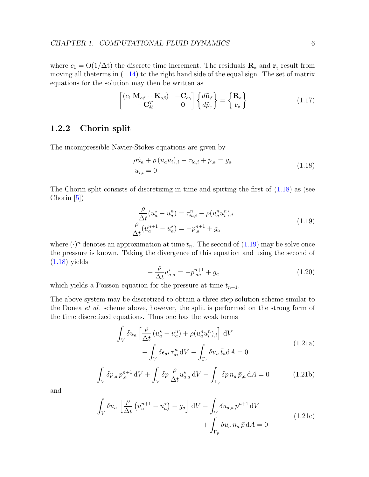<span id="page-9-6"></span>where  $c_1 = O(1/\Delta t)$  the discrete time increment. The residuals  $\mathbf{R}_{\alpha}$  and  $\mathbf{r}_{\gamma}$  result from moving all theterms in [\(1.14\)](#page-8-1) to the right hand side of the equal sign. The set of matrix equations for the solution may then be written as

$$
\begin{bmatrix}\n(c_1 \mathbf{M}_{\alpha\beta} + \mathbf{K}_{\alpha\beta}) & -\mathbf{C}_{\alpha\gamma} \\
-\mathbf{C}_{\delta\beta}^T & \mathbf{0}\n\end{bmatrix}\n\begin{Bmatrix}\nd\tilde{\mathbf{u}}_{\beta} \\
d\tilde{p}_{\gamma}\n\end{Bmatrix} = \n\begin{Bmatrix}\n\mathbf{R}_{\alpha} \\
\mathbf{r}_{\delta}\n\end{Bmatrix}
$$
\n(1.17)

#### <span id="page-9-0"></span>1.2.2 Chorin split

<span id="page-9-1"></span>The incompressible Navier-Stokes equations are given by

$$
\rho \dot{u}_a + \rho (u_a u_i)_{,i} - \tau_{ia,i} + p_{,a} = g_a
$$
  
\n
$$
u_{i,i} = 0
$$
\n(1.18)

The Chorin split consists of discretizing in time and spitting the first of [\(1.18\)](#page-9-1) as (see Chorin  $[5]$ )

$$
\frac{\rho}{\Delta t}(u_a^* - u_a^n) = \tau_{ia,i}^n - \rho(u_a^n u_i^n)_{,i} \n\frac{\rho}{\Delta t}(u_a^{n+1} - u_a^*) = -p_a^{n+1} + g_a
$$
\n(1.19)

<span id="page-9-2"></span>where  $(\cdot)^n$  denotes an approximation at time  $t_n$ . The second of  $(1.19)$  may be solve once the pressure is known. Taking the divergence of this equation and using the second of [\(1.18\)](#page-9-1) yields

$$
-\frac{\rho}{\Delta t}u_{a,a}^{\star} = -p_{,aa}^{n+1} + g_a
$$
\n(1.20)

which yields a Poisson equation for the pressure at time  $t_{n+1}$ .

<span id="page-9-3"></span>The above system may be discretized to obtain a three step solution scheme similar to the Donea et al. scheme above, however, the split is performed on the strong form of the time discretized equations. Thus one has the weak forms

$$
\int_{V} \delta u_{a} \left[ \frac{\rho}{\Delta t} \left( u_{a}^{\star} - u_{a}^{n} \right) + \rho (u_{a}^{n} u_{i}^{n})_{,i} \right] dV
$$
\n
$$
+ \int_{V} \delta \epsilon_{ai} \tau_{ai}^{n} dV - \int_{\Gamma_{t}} \delta u_{a} \bar{t}_{a} dA = 0
$$
\n(1.21a)

<span id="page-9-5"></span>
$$
\int_{V} \delta p_{,a} p_{,a}^{n+1} \, \mathrm{d}V + \int_{V} \delta p \, \frac{\rho}{\Delta t} u_{a,a}^{\star} \, \mathrm{d}V - \int_{\Gamma_q} \delta p \, n_a \, \bar{p}_{,a} \, \mathrm{d}A = 0 \tag{1.21b}
$$

<span id="page-9-4"></span>and

$$
\int_{V} \delta u_{a} \left[ \frac{\rho}{\Delta t} \left( u_{a}^{n+1} - u_{a}^{\star} \right) - g_{a} \right] dV - \int_{V} \delta u_{a,a} p^{n+1} dV
$$
\n
$$
+ \int_{\Gamma_{p}} \delta u_{a} n_{a} \bar{p} dA = 0
$$
\n(1.21c)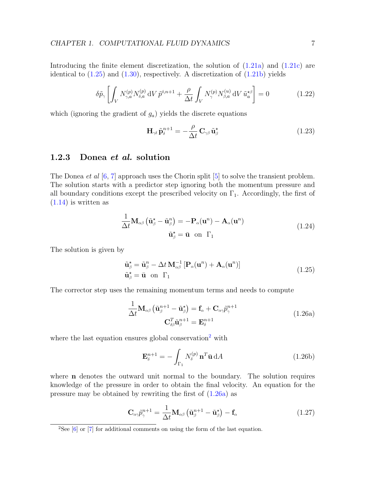<span id="page-10-4"></span>Introducing the finite element discretization, the solution of  $(1.21a)$  and  $(1.21c)$  are identical to  $(1.25)$  and  $(1.30)$ , respectively. A discretization of  $(1.21b)$  yields

$$
\delta \tilde{p}_{\gamma} \left[ \int_{V} N_{\gamma,a}^{(p)} N_{\delta,a}^{(p)} \, \mathrm{d}V \, \tilde{p}^{\delta,n+1} + \frac{\rho}{\Delta t} \int_{V} N_{\gamma}^{(p)} N_{\beta,a}^{(u)} \, \mathrm{d}V \, \tilde{u}_{a}^{\star\beta} \right] = 0 \tag{1.22}
$$

which (ignoring the gradient of  $g_a$ ) yields the discrete equations

$$
\mathbf{H}_{\gamma\delta} \,\tilde{\mathbf{p}}_{\delta}^{n+1} = -\frac{\rho}{\Delta t} \,\mathbf{C}_{\gamma\beta} \,\tilde{\mathbf{u}}_{\beta}^{\star} \tag{1.23}
$$

#### <span id="page-10-0"></span>1.2.3 Donea et al. solution

The Donea *et al* [\[6,](#page-38-5) [7\]](#page-38-6) approach uses the Chorin split [\[5\]](#page-38-4) to solve the transient problem. The solution starts with a predictor step ignoring both the momentum pressure and all boundary conditions except the prescribed velocity on  $\Gamma_1$ . Accordingly, the first of  $(1.14)$  is written as

$$
\frac{1}{\Delta t} \mathbf{M}_{\alpha\beta} \left( \tilde{\mathbf{u}}_{\beta}^{\star} - \tilde{\mathbf{u}}_{\beta}^{n} \right) = -\mathbf{P}_{\alpha}(\mathbf{u}^{n}) - \mathbf{A}_{\alpha}(\mathbf{u}^{n})
$$
\n
$$
\tilde{\mathbf{u}}_{\beta}^{\star} = \bar{\mathbf{u}} \text{ on } \Gamma_{1}
$$
\n(1.24)

<span id="page-10-1"></span>The solution is given by

$$
\tilde{\mathbf{u}}_{\beta}^{\star} = \tilde{\mathbf{u}}_{\beta}^{n} - \Delta t \, \mathbf{M}_{\alpha\beta}^{-1} \left[ \mathbf{P}_{\alpha}(\mathbf{u}^{n}) + \mathbf{A}_{\alpha}(\mathbf{u}^{n}) \right]
$$
\n
$$
\tilde{\mathbf{u}}_{\beta}^{\star} = \bar{\mathbf{u}} \quad \text{on} \quad \Gamma_{1} \tag{1.25}
$$

<span id="page-10-3"></span>The corrector step uses the remaining momentum terms and needs to compute

$$
\frac{1}{\Delta t} \mathbf{M}_{\alpha\beta} \left( \tilde{\mathbf{u}}_{\beta}^{n+1} - \tilde{\mathbf{u}}_{\beta}^{\star} \right) = \mathbf{f}_{\alpha} + \mathbf{C}_{\alpha\gamma} \tilde{p}_{\gamma}^{n+1}
$$
\n
$$
\mathbf{C}_{\delta\beta}^{T} \tilde{\mathbf{u}}_{\beta}^{n+1} = \mathbf{E}_{\delta}^{n+1}
$$
\n(1.26a)

where the last equation ensures global conservation<sup>[2](#page-10-2)</sup> with

$$
\mathbf{E}_{\delta}^{n+1} = -\int_{\Gamma_1} N_{\delta}^{(p)} \mathbf{n}^T \bar{\mathbf{u}} \, dA \tag{1.26b}
$$

where **n** denotes the outward unit normal to the boundary. The solution requires knowledge of the pressure in order to obtain the final velocity. An equation for the pressure may be obtained by rewriting the first of [\(1.26a\)](#page-10-3) as

$$
\mathbf{C}_{\alpha\gamma}\tilde{p}_{\gamma}^{n+1} = \frac{1}{\Delta t}\mathbf{M}_{\alpha\beta}\left(\tilde{\mathbf{u}}_{\beta}^{n+1} - \tilde{\mathbf{u}}_{\beta}^{*}\right) - \mathbf{f}_{\alpha}
$$
(1.27)

<span id="page-10-2"></span><sup>&</sup>lt;sup>2</sup>See [\[6\]](#page-38-5) or [\[7\]](#page-38-6) for additional comments on using the form of the last equation.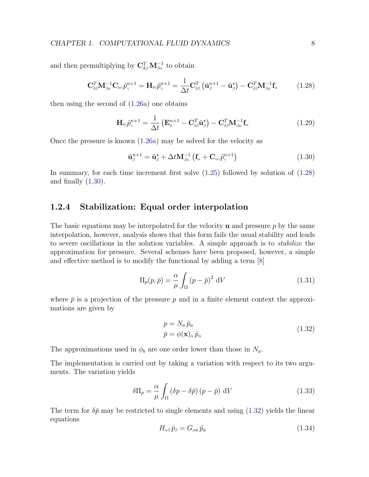<span id="page-11-4"></span>and then premultiplying by  $\mathbf{C}_{\delta\beta}^T \mathbf{M}_{\beta\alpha}^{-1}$  to obtain

<span id="page-11-2"></span>
$$
\mathbf{C}_{\delta\beta}^T \mathbf{M}_{\beta\alpha}^{-1} \mathbf{C}_{\alpha\gamma} \tilde{p}_{\gamma}^{n+1} = \mathbf{H}_{\delta\gamma} \tilde{p}_{\gamma}^{n+1} = \frac{1}{\Delta t} \mathbf{C}_{\delta\beta}^T \left( \tilde{\mathbf{u}}_{\beta}^{n+1} - \tilde{\mathbf{u}}_{\beta}^{\star} \right) - \mathbf{C}_{\delta\beta}^T \mathbf{M}_{\beta\alpha}^{-1} \mathbf{f}_{\alpha}
$$
(1.28)

then using the second of  $(1.26a)$  one obtains

$$
\mathbf{H}_{\delta\gamma}\tilde{p}_{\gamma}^{n+1} = \frac{1}{\Delta t} \left( \mathbf{E}_{\delta}^{n+1} - \mathbf{C}_{\delta\beta}^T \tilde{\mathbf{u}}_{\beta}^* \right) - \mathbf{C}_{\delta\beta}^T \mathbf{M}_{\beta\alpha}^{-1} \mathbf{f}_{\alpha}
$$
(1.29)

Once the pressure is known  $(1.26a)$  may be solved for the velocity as

<span id="page-11-1"></span>
$$
\tilde{\mathbf{u}}_{\beta}^{n+1} = \tilde{\mathbf{u}}_{\beta}^{\star} + \Delta t \mathbf{M}_{\beta\alpha}^{-1} \left( \mathbf{f}_{\alpha} + \mathbf{C}_{\alpha\gamma} \tilde{p}_{\gamma}^{n+1} \right)
$$
\n(1.30)

In summary, for each time increment first solve [\(1.25\)](#page-10-1) followed by solution of [\(1.28\)](#page-11-2) and finally  $(1.30)$ .

#### <span id="page-11-0"></span>1.2.4 Stabilization: Equal order interpolation

The basic equations may be interpolated for the velocity  $\bf{u}$  and pressure p by the same interpolation, however, analysis shows that this form fails the usual stability and leads to severe oscillations in the solution variables. A simple approach is to stabilize the approximation for pressure. Several schemes have been proposed, however, a simple and effective method is to modify the functional by adding a term [\[8\]](#page-38-7)

$$
\Pi_p(p,\bar{p}) = \frac{\alpha}{\mu} \int_{\Omega} (p-\bar{p})^2 \, \mathrm{d}V \tag{1.31}
$$

where  $\bar{p}$  is a projection of the pressure p and in a finite element context the approximations are given by

$$
p = N_a \tilde{p}_a
$$
  
\n
$$
\bar{p} = \phi(\mathbf{x})_\alpha \hat{p}_\alpha
$$
\n(1.32)

<span id="page-11-3"></span>The approximations used in  $\phi_b$  are one order lower than those in  $N_a$ .

The implementation is carried out by taking a variation with respect to its two arguments. The variation yields

$$
\delta\Pi_p = \frac{\alpha}{\mu} \int_{\Omega} (\delta p - \delta \bar{p}) (p - \bar{p}) dV
$$
 (1.33)

The term for  $\delta \bar{p}$  may be restricted to single elements and using [\(1.32\)](#page-11-3) yields the linear equations

$$
H_{\alpha\beta}\,\hat{p}_{\beta} = G_{\alpha a}\,\tilde{p}_{a} \tag{1.34}
$$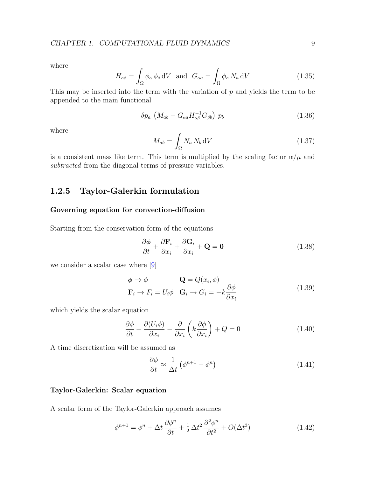<span id="page-12-1"></span>where

$$
H_{\alpha\beta} = \int_{\Omega} \phi_{\alpha} \phi_{\beta} dV \text{ and } G_{\alpha a} = \int_{\Omega} \phi_{\alpha} N_a dV \qquad (1.35)
$$

This may be inserted into the term with the variation of  $p$  and yields the term to be appended to the main functional

$$
\delta p_a \left( M_{ab} - G_{\alpha a} H_{\alpha \beta}^{-1} G_{\beta b} \right) p_b \tag{1.36}
$$

where

$$
M_{ab} = \int_{\Omega} N_a N_b \, \mathrm{d}V \tag{1.37}
$$

is a consistent mass like term. This term is multiplied by the scaling factor  $\alpha/\mu$  and subtracted from the diagonal terms of pressure variables.

#### <span id="page-12-0"></span>1.2.5 Taylor-Galerkin formulation

#### Governing equation for convection-diffusion

Starting from the conservation form of the equations

$$
\frac{\partial \phi}{\partial t} + \frac{\partial \mathbf{F}_i}{\partial x_i} + \frac{\partial \mathbf{G}_i}{\partial x_i} + \mathbf{Q} = \mathbf{0}
$$
 (1.38)

we consider a scalar case where [\[9\]](#page-38-8)

$$
\begin{aligned}\n\boldsymbol{\phi} &\rightarrow \boldsymbol{\phi} & \mathbf{Q} &= Q(x_i, \boldsymbol{\phi}) \\
\mathbf{F}_i &\rightarrow F_i = U_i \boldsymbol{\phi} & \mathbf{G}_i &\rightarrow G_i = -k \frac{\partial \boldsymbol{\phi}}{\partial x_i}\n\end{aligned} \tag{1.39}
$$

which yields the scalar equation

$$
\frac{\partial \phi}{\partial t} + \frac{\partial (U_i \phi)}{\partial x_i} - \frac{\partial}{\partial x_i} \left( k \frac{\partial \phi}{\partial x_i} \right) + Q = 0 \tag{1.40}
$$

A time discretization will be assumed as

$$
\frac{\partial \phi}{\partial t} \approx \frac{1}{\Delta t} \left( \phi^{n+1} - \phi^n \right) \tag{1.41}
$$

#### Taylor-Galerkin: Scalar equation

A scalar form of the Taylor-Galerkin approach assumes

$$
\phi^{n+1} = \phi^n + \Delta t \frac{\partial \phi^n}{\partial t} + \frac{1}{2} \Delta t^2 \frac{\partial^2 \phi^n}{\partial t^2} + O(\Delta t^3)
$$
\n(1.42)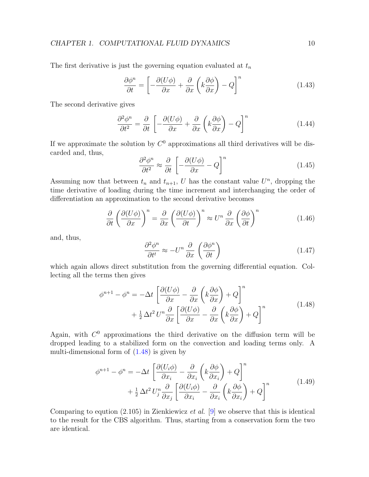#### CHAPTER 1. COMPUTATIONAL FLUID DYNAMICS 10

The first derivative is just the governing equation evaluated at  $t_n$ 

$$
\frac{\partial \phi^n}{\partial t} = \left[ -\frac{\partial (U\phi)}{\partial x} + \frac{\partial}{\partial x} \left( k \frac{\partial \phi}{\partial x} \right) - Q \right]^n \tag{1.43}
$$

The second derivative gives

$$
\frac{\partial^2 \phi^n}{\partial t^2} = \frac{\partial}{\partial t} \left[ -\frac{\partial (U\phi)}{\partial x} + \frac{\partial}{\partial x} \left( k \frac{\partial \phi}{\partial x} \right) - Q \right]^n \tag{1.44}
$$

If we approximate the solution by  $C^0$  approximations all third derivatives will be discarded and, thus,

$$
\frac{\partial^2 \phi^n}{\partial t^2} \approx \frac{\partial}{\partial t} \left[ -\frac{\partial (U\phi)}{\partial x} - Q \right]^n \tag{1.45}
$$

Assuming now that between  $t_n$  and  $t_{n+1}$ , U has the constant value  $U^n$ , dropping the time derivative of loading during the time increment and interchanging the order of differentiation an approximation to the second derivative becomes

$$
\frac{\partial}{\partial t} \left( \frac{\partial (U\phi)}{\partial x} \right)^n = \frac{\partial}{\partial x} \left( \frac{\partial (U\phi)}{\partial t} \right)^n \approx U^n \frac{\partial}{\partial x} \left( \frac{\partial \phi}{\partial t} \right)^n \tag{1.46}
$$

and, thus,

$$
\frac{\partial^2 \phi^n}{\partial t^t} \approx -U^n \frac{\partial}{\partial x} \left( \frac{\partial \phi^n}{\partial t} \right) \tag{1.47}
$$

which again allows direct substitution from the governing differential equation. Collecting all the terms then gives

$$
\phi^{n+1} - \phi^n = -\Delta t \left[ \frac{\partial (U\phi)}{\partial x} - \frac{\partial}{\partial x} \left( k \frac{\partial \phi}{\partial x} \right) + Q \right]^n
$$
  
+ 
$$
\frac{1}{2} \Delta t^2 U^n \frac{\partial}{\partial x} \left[ \frac{\partial (U\phi)}{\partial x} - \frac{\partial}{\partial x} \left( k \frac{\partial \phi}{\partial x} \right) + Q \right]^n
$$
(1.48)

<span id="page-13-0"></span>Again, with  $C<sup>0</sup>$  approximations the third derivative on the diffusion term will be dropped leading to a stabilized form on the convection and loading terms only. A multi-dimensional form of [\(1.48\)](#page-13-0) is given by

$$
\phi^{n+1} - \phi^n = -\Delta t \left[ \frac{\partial (U_i \phi)}{\partial x_i} - \frac{\partial}{\partial x_i} \left( k \frac{\partial \phi}{\partial x_i} \right) + Q \right]^n
$$
  
+  $\frac{1}{2} \Delta t^2 U_j^n \frac{\partial}{\partial x_j} \left[ \frac{\partial (U_i \phi)}{\partial x_i} - \frac{\partial}{\partial x_i} \left( k \frac{\partial \phi}{\partial x_i} \right) + Q \right]^n$  (1.49)

<span id="page-13-1"></span>Comparing to eqution  $(2.105)$  in Zienkiewicz *et al.* [\[9\]](#page-38-8) we observe that this is identical to the result for the CBS algorithm. Thus, starting from a conservation form the two are identical.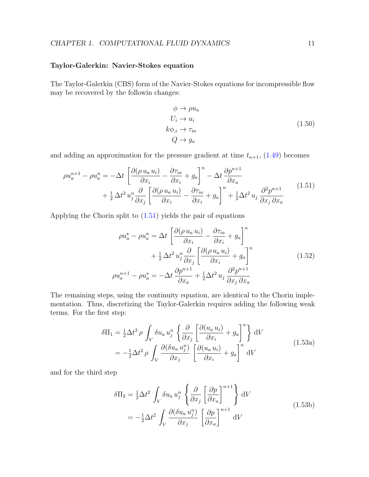#### <span id="page-14-3"></span>Taylor-Galerkin: Navier-Stokes equation

The Taylor-Galerkin (CBS) form of the Navier-Stokes equations for incompressible flow may be recovered by the followin changes:

$$
\begin{aligned}\n\phi &\to \rho u_a \\
U_i &\to u_i \\
k\phi_{,i} &\to \tau_{ia} \\
Q &\to g_a\n\end{aligned} \tag{1.50}
$$

and adding an approximation for the pressure gradient at time  $t_{n+1}$ , [\(1.49\)](#page-13-1) becomes

<span id="page-14-0"></span>
$$
\rho u_a^{n+1} - \rho u_a^n = -\Delta t \left[ \frac{\partial (\rho u_a u_i)}{\partial x_i} - \frac{\partial \tau_{ia}}{\partial x_i} + g_a \right]^n - \Delta t \frac{\partial p^{n+1}}{\partial x_a} + \frac{1}{2} \Delta t^2 u_j^n \frac{\partial}{\partial x_j} \left[ \frac{\partial (\rho u_a u_i)}{\partial x_i} - \frac{\partial \tau_{ia}}{\partial x_i} + g_a \right]^n + \frac{1}{2} \Delta t^2 u_j \frac{\partial^2 p^{n+1}}{\partial x_j \partial x_a} \tag{1.51}
$$

Applying the Chorin split to [\(1.51\)](#page-14-0) yields the pair of equations

$$
\rho u_a^* - \rho u_a^n = \Delta t \left[ \frac{\partial (\rho u_a u_i)}{\partial x_i} - \frac{\partial \tau_{ia}}{\partial x_i} + g_a \right]^n
$$
  
+  $\frac{1}{2} \Delta t^2 u_j^n \frac{\partial}{\partial x_j} \left[ \frac{\partial (\rho u_a u_i)}{\partial x_i} + g_a \right]^n$   

$$
\rho u_a^{n+1} - \rho u_a^* = -\Delta t \frac{\partial p^{n+1}}{\partial x_a} + \frac{1}{2} \Delta t^2 u_j \frac{\partial^2 p^{n+1}}{\partial x_j \partial x_a}
$$
(1.52)

The remaining steps, using the continuity equation, are identical to the Chorin implementation. Thus, discretizing the Taylor-Galerkin requires adding the following weak terms. For the first step:

$$
\delta\Pi_1 = \frac{1}{2}\Delta t^2 \rho \int_V \delta u_a u_j^n \left\{ \frac{\partial}{\partial x_j} \left[ \frac{\partial (u_a u_i)}{\partial x_i} + g_a \right]^n \right\} dV
$$
  
=  $-\frac{1}{2}\Delta t^2 \rho \int_V \frac{\partial (\delta u_a u_j^n)}{\partial x_j} \left[ \frac{\partial (u_a u_i)}{\partial x_i} + g_a \right]^n dV$  (1.53a)

<span id="page-14-2"></span><span id="page-14-1"></span>and for the third step

$$
\delta\Pi_2 = \frac{1}{2}\Delta t^2 \int_V \delta u_a u_j^n \left\{ \frac{\partial}{\partial x_j} \left[ \frac{\partial p}{\partial x_a} \right]^{n+1} \right\} dV
$$
\n
$$
= -\frac{1}{2}\Delta t^2 \int_V \frac{\partial (\delta u_a u_j^n)}{\partial x_j} \left[ \frac{\partial p}{\partial x_a} \right]^{n+1} dV
$$
\n(1.53b)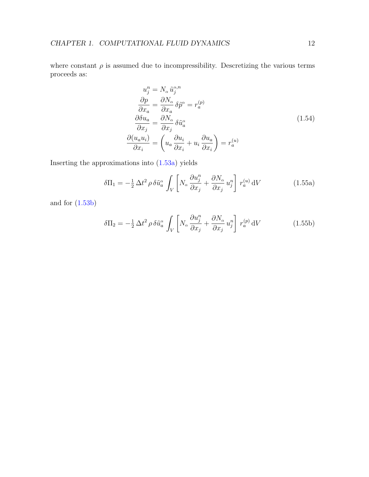where constant  $\rho$  is assumed due to incompressibility. Descretizing the various terms proceeds as:

$$
u_j^n = N_\alpha \tilde{u}_j^{\alpha,n}
$$
  
\n
$$
\frac{\partial p}{\partial x_a} = \frac{\partial N_\alpha}{\partial x_a} \delta \tilde{p}^\alpha = r_a^{(p)}
$$
  
\n
$$
\frac{\partial \delta u_a}{\partial x_j} = \frac{\partial N_\alpha}{\partial x_j} \delta \tilde{u}_a^\alpha
$$
  
\n
$$
\frac{\partial (u_a u_i)}{\partial x_i} = \left( u_a \frac{\partial u_i}{\partial x_i} + u_i \frac{\partial u_a}{\partial x_i} \right) = r_a^{(u)}
$$
  
\n(1.54)

Inserting the approximations into [\(1.53a\)](#page-14-1) yields

$$
\delta\Pi_1 = -\frac{1}{2}\Delta t^2 \rho \,\delta\tilde{u}_a^{\alpha} \int_V \left[ N_{\alpha} \frac{\partial u_j^n}{\partial x_j} + \frac{\partial N_{\alpha}}{\partial x_j} u_j^n \right] r_a^{(u)} \,dV \tag{1.55a}
$$

and for [\(1.53b\)](#page-14-2)

$$
\delta\Pi_2 = -\frac{1}{2}\Delta t^2 \rho \,\delta\tilde{u}_a^\alpha \int_V \left[ N_\alpha \frac{\partial u_j^n}{\partial x_j} + \frac{\partial N_\alpha}{\partial x_j} u_j^n \right] r_a^{(p)} \,dV \tag{1.55b}
$$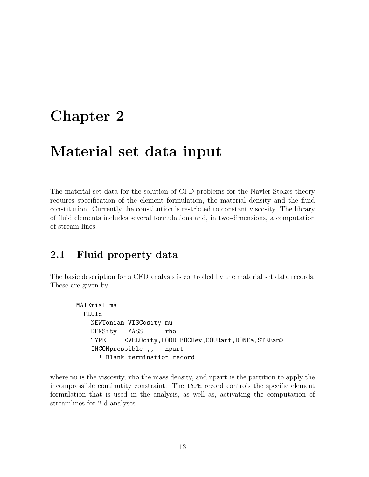## <span id="page-16-2"></span><span id="page-16-0"></span>Chapter 2

## Material set data input

The material set data for the solution of CFD problems for the Navier-Stokes theory requires specification of the element formulation, the material density and the fluid constitution. Currently the constitution is restricted to constant viscosity. The library of fluid elements includes several formulations and, in two-dimensions, a computation of stream lines.

### <span id="page-16-1"></span>2.1 Fluid property data

The basic description for a CFD analysis is controlled by the material set data records. These are given by:

```
MATErial ma
 FLUId
   NEWTonian VISCosity mu
   DENSity MASS rho
   TYPE <VELOcity,HOOD,BOCHev,COURant,DONEa,STREam>
   INCOMpressible ,, npart
     ! Blank termination record
```
where mu is the viscosity, rho the mass density, and neart is the partition to apply the incompressible continutity constraint. The TYPE record controls the specific element formulation that is used in the analysis, as well as, activating the computation of streamlines for 2-d analyses.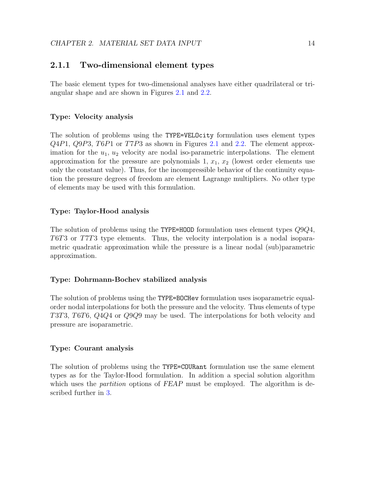#### <span id="page-17-1"></span><span id="page-17-0"></span>2.1.1 Two-dimensional element types

The basic element types for two-dimensional analyses have either quadrilateral or triangular shape and are shown in Figures [2.1](#page-20-0) and [2.2.](#page-21-0)

#### Type: Velocity analysis

The solution of problems using the TYPE=VELOcity formulation uses element types Q4P1, Q9P3, T6P1 or T7P3 as shown in Figures [2.1](#page-20-0) and [2.2.](#page-21-0) The element approximation for the  $u_1, u_2$  velocity are nodal iso-parametric interpolations. The element approximation for the pressure are polynomials  $1, x_1, x_2$  (lowest order elements use only the constant value). Thus, for the incompressible behavior of the continuity equation the pressure degrees of freedom are element Lagrange multipliers. No other type of elements may be used with this formulation.

#### Type: Taylor-Hood analysis

The solution of problems using the TYPE=HOOD formulation uses element types Q9Q4, T6T3 or T7T3 type elements. Thus, the velocity interpolation is a nodal isoparametric quadratic approximation while the pressure is a linear nodal (sub)parametric approximation.

#### Type: Dohrmann-Bochev stabilized analysis

The solution of problems using the TYPE=BOCHev formulation uses isoparametric equalorder nodal interpolations for both the pressure and the velocity. Thus elements of type T3T3, T6T6, Q4Q4 or Q9Q9 may be used. The interpolations for both velocity and pressure are isoparametric.

#### Type: Courant analysis

The solution of problems using the TYPE=COURant formulation use the same element types as for the Taylor-Hood formulation. In addition a special solution algorithm which uses the *partition* options of FEAP must be employed. The algorithm is described further in [3.](#page-22-0)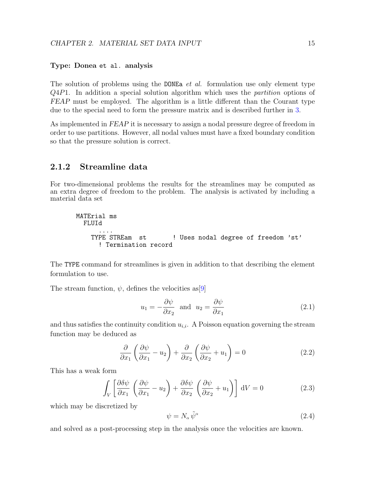#### <span id="page-18-1"></span>Type: Donea et al. analysis

The solution of problems using the DONEa  $et$  al. formulation use only element type Q4P1. In addition a special solution algorithm which uses the partition options of FEAP must be employed. The algorithm is a little different than the Courant type due to the special need to form the pressure matrix and is described further in [3.](#page-22-0)

As implemented in FEAP it is necessary to assign a nodal pressure degree of freedom in order to use partitions. However, all nodal values must have a fixed boundary condition so that the pressure solution is correct.

#### <span id="page-18-0"></span>2.1.2 Streamline data

For two-dimensional problems the results for the streamlines may be computed as an extra degree of freedom to the problem. The analysis is activated by including a material data set

```
MATErial ms
 FLUId
      ....
    TYPE STREam st ! Uses nodal degree of freedom 'st'
     ! Termination record
```
The TYPE command for streamlines is given in addition to that describing the element formulation to use.

The stream function,  $\psi$ , defines the velocities as [\[9\]](#page-38-8)

$$
u_1 = -\frac{\partial \psi}{\partial x_2} \quad \text{and} \quad u_2 = \frac{\partial \psi}{\partial x_1} \tag{2.1}
$$

and thus satisfies the continuity condition  $u_{i,i}$ . A Poisson equation governing the stream function may be deduced as

$$
\frac{\partial}{\partial x_1} \left( \frac{\partial \psi}{\partial x_1} - u_2 \right) + \frac{\partial}{\partial x_2} \left( \frac{\partial \psi}{\partial x_2} + u_1 \right) = 0 \tag{2.2}
$$

This has a weak form

$$
\int_{V} \left[ \frac{\partial \delta \psi}{\partial x_1} \left( \frac{\partial \psi}{\partial x_1} - u_2 \right) + \frac{\partial \delta \psi}{\partial x_2} \left( \frac{\partial \psi}{\partial x_2} + u_1 \right) \right] dV = 0 \tag{2.3}
$$

which may be discretized by

$$
\psi = N_{\alpha} \tilde{\psi}^{\alpha} \tag{2.4}
$$

and solved as a post-processing step in the analysis once the velocities are known.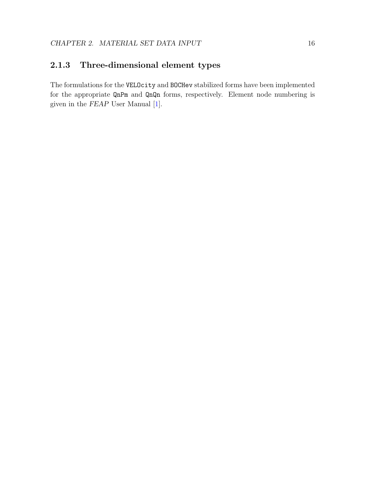### <span id="page-19-1"></span><span id="page-19-0"></span>2.1.3 Three-dimensional element types

The formulations for the VELOcity and BOCHev stabilized forms have been implemented for the appropriate QnPm and QnQn forms, respectively. Element node numbering is given in the FEAP User Manual [\[1\]](#page-38-0).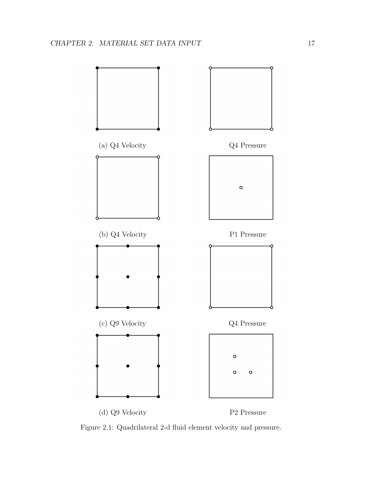

<span id="page-20-0"></span>Figure 2.1: Quadrilateral 2-d fluid element velocity and pressure.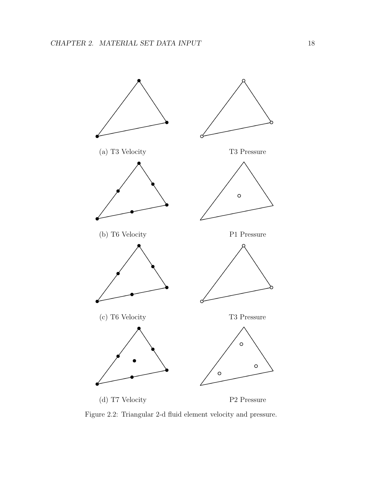

<span id="page-21-0"></span>Figure 2.2: Triangular 2-d fluid element velocity and pressure.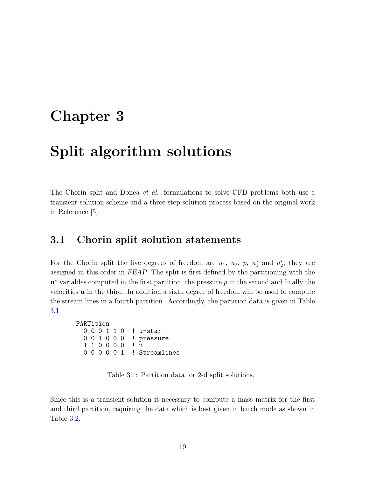## <span id="page-22-3"></span><span id="page-22-0"></span>Chapter 3

## Split algorithm solutions

The Chorin split and Donea *et al.* formulations to solve CFD problems both use a transient solution scheme and a three step solution process based on the original work in Reference [\[5\]](#page-38-4).

### <span id="page-22-1"></span>3.1 Chorin split solution statements

For the Chorin split the five degrees of freedom are  $u_1$ ,  $u_2$ ,  $p$ ,  $u_1^*$  and  $u_2^*$ ; they are assigned in this order in FEAP. The split is first defined by the partitioning with the  $\mathbf{u}^*$  variables computed in the first partition, the pressure  $p$  in the second and finally the velocities  $\bf{u}$  in the third. In addition a sixth degree of freedom will be used to compute the stream lines in a fourth partition. Accordingly, the partition data is given in Table [3.1](#page-22-2)

```
PARTition
  0 0 0 1 1 0 ! u-star
  0 0 1 0 0 0 ! pressure<br>1 1 0 0 0 0 ! u
  1 1 0 0 0 0
  0 0 0 0 0 1 ! Streamlines
```
<span id="page-22-2"></span>Table 3.1: Partition data for 2-d split solutions.

Since this is a transient solution it necessary to compute a mass matrix for the first and third partition, requiring the data which is best given in batch mode as shown in Table [3.2.](#page-23-1)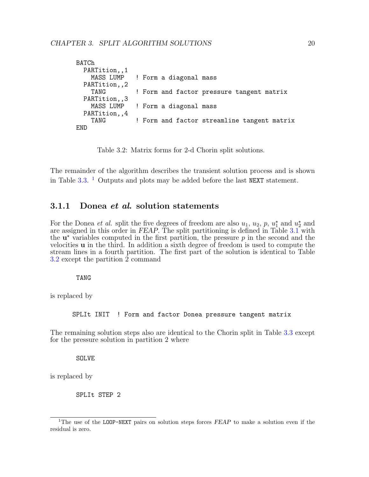```
BATCh
  PARTition,,1<br>MASS LUMP
                 ! Form a diagonal mass
  PARTition,,2
    TANG ! Form and factor pressure tangent matrix
  PARTition,,3<br>MASS LUMP
                 ! Form a diagonal mass
  PARTition,,4
    TANG ! Form and factor streamline tangent matrix
END
```
<span id="page-23-1"></span>Table 3.2: Matrix forms for 2-d Chorin split solutions.

The remainder of the algorithm describes the transient solution process and is shown in Table [3.3.](#page-24-0) <sup>[1](#page-23-2)</sup> Outputs and plots may be added before the last NEXT statement.

#### <span id="page-23-0"></span>3.1.1 Donea *et al.* solution statements

For the Donea *et al.* split the five degrees of freedom are also  $u_1, u_2, p, u_1^*$  and  $u_2^*$  and are assigned in this order in FEAP. The split partitioning is defined in Table  $3.1$  with the  $\mathbf{u}^*$  variables computed in the first partition, the pressure p in the second and the velocities u in the third. In addition a sixth degree of freedom is used to compute the stream lines in a fourth partition. The first part of the solution is identical to Table [3.2](#page-23-1) except the partition 2 command

#### TANG

is replaced by

SPLIt INIT ! Form and factor Donea pressure tangent matrix

The remaining solution steps also are identical to the Chorin split in Table [3.3](#page-24-0) except for the pressure solution in partition 2 where

SOLVE

is replaced by

SPLIt STEP 2

<span id="page-23-2"></span><sup>&</sup>lt;sup>1</sup>The use of the LOOP-NEXT pairs on solution steps forces  $FEAP$  to make a solution even if the residual is zero.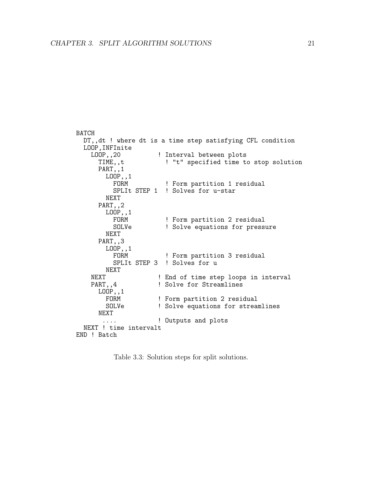```
BATCH
  DT,,dt ! where dt is a time step satisfying CFL condition
  LOOP,INFInite<br>LOOP,,20
       OOP,,20 9. Interval between plots<br>TIME,,t 9. I "t" specified time to
                            ! "t" specified time to stop solution
       PART,,1
          LOOP,,1<br>FORM
                              ! Form partition 1 residual
            SPLIt STEP 1 ! Solves for u-star
          NEXT
       PART,,2
          LOOP,,1<br>FORM
            FORM 9 . Form partition 2 residual<br>SOLVe 901 . Solve equations for press
                            ! Solve equations for pressure
          NEXT
       PART,,3
          LOOP,,1<br>FORM
                             ! Form partition 3 residual
            SPLIt STEP 3 ! Solves for u
          NEXT
     NEXT                 ! End of time step loops in interval PART,,4             ! Solve for Streamlines
                           ! Solve for Streamlines
       LOOP,,1<br>FORM
          FORM 9 | Form partition 2 residual<br>SOLVe 901 | Solve equations for stread
                            ! Solve equations for streamlines
       NEXT
         .... ! Outputs and plots
  NEXT ! time intervalt
END ! Batch
```
<span id="page-24-0"></span>Table 3.3: Solution steps for split solutions.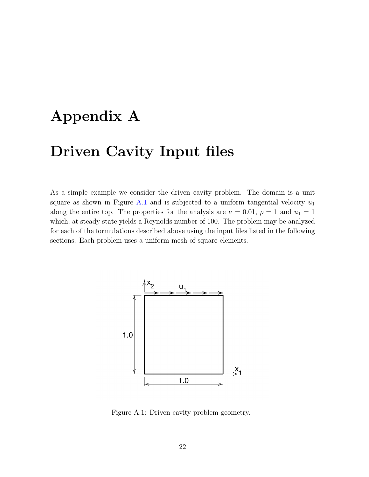## <span id="page-25-2"></span><span id="page-25-0"></span>Appendix A

## Driven Cavity Input files

As a simple example we consider the driven cavity problem. The domain is a unit square as shown in Figure [A.1](#page-25-1) and is subjected to a uniform tangential velocity  $u_1$ along the entire top. The properties for the analysis are  $\nu = 0.01$ ,  $\rho = 1$  and  $u_1 = 1$ which, at steady state yields a Reynolds number of 100. The problem may be analyzed for each of the formulations described above using the input files listed in the following sections. Each problem uses a uniform mesh of square elements.



<span id="page-25-1"></span>Figure A.1: Driven cavity problem geometry.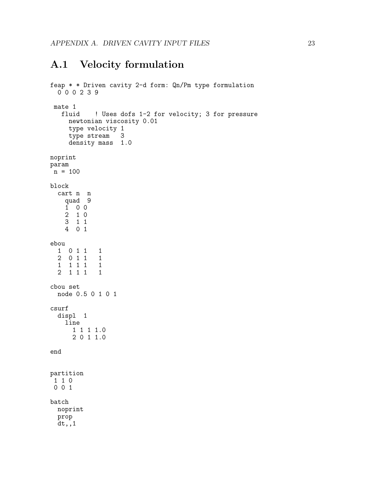### <span id="page-26-1"></span><span id="page-26-0"></span>A.1 Velocity formulation

```
feap * * Driven cavity 2-d form: Qn/Pm type formulation
  0 0 0 2 3 9
mate 1<br>fluid
           ! Uses dofs 1-2 for velocity; 3 for pressure
    newtonian viscosity 0.01
    type velocity 1<br>type stream 3
    type stream
    density mass 1.0
noprint
param
n = 100block
  cart n n
   quad 9
   1 0 0
   2 1 0
   3 1 1
   4 0 1
ebou
  1 0 1 1 1
  2 0 1 1 1
  1 1 1 1 1
  2 1 1 1 1
cbou set
 node 0.5 0 1 0 1
csurf
 displ 1
   line
      1 1 1 1.0
      2 0 1 1.0
end
partition
1 1 0
0 0 1
batch
 noprint
 prop
 dt,,1
```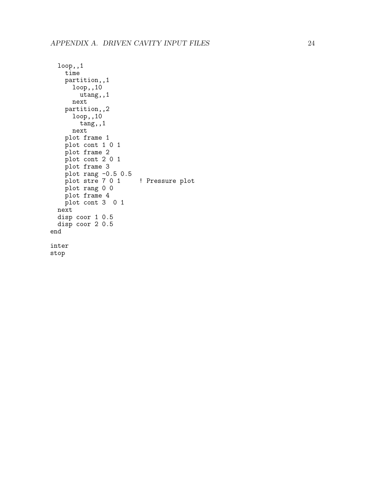```
loop,,1
   time
   partition,,1
      loop,,10
       utang,,1
     next
   partition,,2
      loop,,10
        tang,,1
      next
   plot frame 1
   plot cont 1 0 1
   plot frame 2
   plot cont 2 0 1
   plot frame 3
    plot rang -0.5 0.5
    plot stre 7 0 1 ! Pressure plot
   plot rang 0 0
   plot frame 4
   plot cont 3 0 1
 next
 disp coor 1 0.5
 disp coor 2 0.5
end
inter
stop
```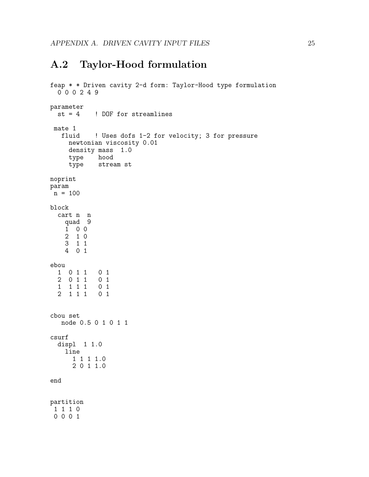### <span id="page-28-1"></span><span id="page-28-0"></span>A.2 Taylor-Hood formulation

```
feap * * Driven cavity 2-d form: Taylor-Hood type formulation
  0 0 0 2 4 9
parameter<br>st = 4! DOF for streamlines
mate 1<br>fluid
            ! Uses dofs 1-2 for velocity; 3 for pressure
     newtonian viscosity 0.01
     density mass 1.0
     type hood
     type stream st
noprint
param
n = 100block
  cart n n
    quad 9
    1 0 0
    2 1 0
    3 1 1
    4 0 1
ebou
  1 0 1 1 0 1
  \begin{array}{cccccc} 2 & 0 & 1 & 1 & 0 & 1 \\ 1 & 1 & 1 & 1 & 0 & 1 \end{array}1 1 1 1
  2 1 1 1 0 1
cbou set
   node 0.5 0 1 0 1 1
csurf
  displ 1 1.0
    line
      1 1 1 1.0
      2 0 1 1.0
end
partition
 1 1 1 0
 0 0 0 1
```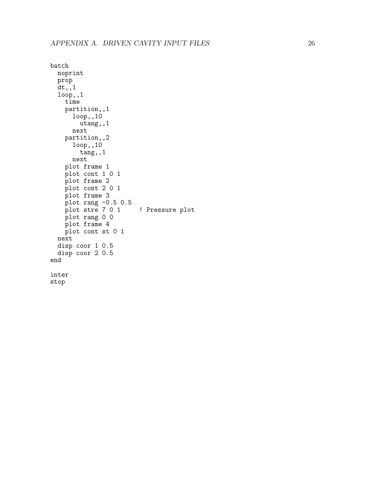```
batch
 noprint
 prop
 dt,,1
 loop,,1
   time
   partition,,1
      loop,,10
       utang,,1
      next
   partition,,2
      loop,,10
       tang,,1
      next
   plot frame 1
   plot cont 1 0 1
   plot frame 2
   plot cont 2 0 1
   plot frame 3
    plot rang -0.5 0.5
    plot stre 7 0 1 ! Pressure plot
   plot rang 0 0
   plot frame 4
   plot cont st 0 1
 next
 disp coor 1 0.5
 disp coor 2 0.5
end
inter
stop
```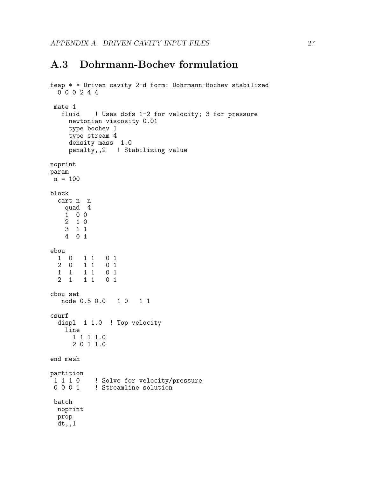### <span id="page-30-1"></span><span id="page-30-0"></span>A.3 Dohrmann-Bochev formulation

```
feap * * Driven cavity 2-d form: Dohrmann-Bochev stabilized
  0 0 0 2 4 4
mate 1<br>fluid
           ! Uses dofs 1-2 for velocity; 3 for pressure
    newtonian viscosity 0.01
    type bochev 1
    type stream 4
    density mass 1.0
    penalty,,2 ! Stabilizing value
noprint
param
n = 100
block
  cart n n
   quad 4
   1 0 0
   2 1 0
   3 1 1
   4 0 1
ebou
  1 0 1 1 0 1
 2 0 1 1 0 1
  1 1 1 1 0 1
       1 1 0 1
cbou set
  node 0.5 0.0  1 0  1 1
csurf
  displ 1 1.0 ! Top velocity
   line
     1 1 1 1.0
     2 0 1 1.0
end mesh
partition
 1 1 1 0 9 ! Solve for velocity/pressure
 0 0 0 1 9 ! Streamline solution
batch
 noprint
 prop
 dt,,1
```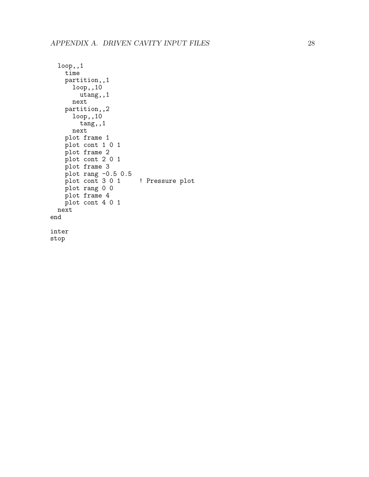```
loop,,1
    time
    partition,,1
      loop,,10
        utang,,1
      next
    partition,,2
      loop,,10
        tang,,1
      next
    plot frame 1
    plot cont 1 0 1
   plot frame 2
    plot cont 2 0 1
   plot frame 3
    plot rang -0.5 0.5
    plot cont 3 0 1 <sup>9</sup> ! Pressure plot
    plot rang 0 0
   plot frame 4
   plot cont 4 0 1
 next
end
inter
stop
```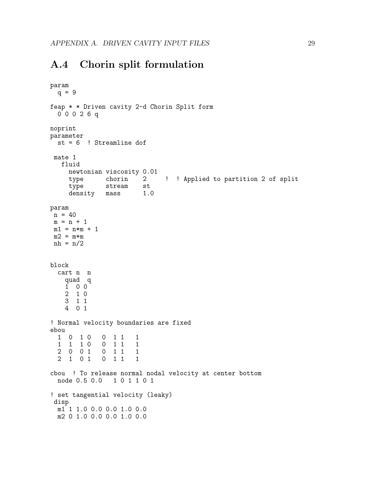### <span id="page-32-1"></span><span id="page-32-0"></span>A.4 Chorin split formulation

```
param
  q = 9feap * * Driven cavity 2-d Chorin Split form
  0 0 0 2 6 q
noprint
parameter
  st = 6 ! Streamline dof
 mate 1
   fluid
      newtonian viscosity 0.01
      type chorin 2 ! ! Applied to partition 2 of split
      type stream st
      density mass 1.0
param
 n = 40m = n + 1m1 = n*m + 1m2 = m*mnh = n/2block
  cart n n
     quad q
     1 0 0
     2 1 0
     3 1 1
     4 0 1
! Normal velocity boundaries are fixed
ebou
  \begin{array}{ccccccccc}\n1 & 0 & 1 & 0 & 0 & 1 & 1 & 1 \\
1 & 1 & 1 & 0 & 0 & 1 & 1 & 1\n\end{array}\begin{array}{ccccccccc}\n1 & 1 & 1 & 0 & 0 & 1 & 1 & 1 \\
2 & 0 & 0 & 1 & 0 & 1 & 1 & 1\n\end{array}\begin{array}{cccc} 0 & 1 & 1 & 1 \\ 0 & 1 & 1 & 1 \end{array}2 \t1 \t0 \t1cbou ! To release normal nodal velocity at center bottom
  node 0.5 0.0 1 0 1 1 0 1
! set tangential velocity (leaky)
 disp
  m1 1 1.0 0.0 0.0 1.0 0.0
  m2 0 1.0 0.0 0.0 1.0 0.0
```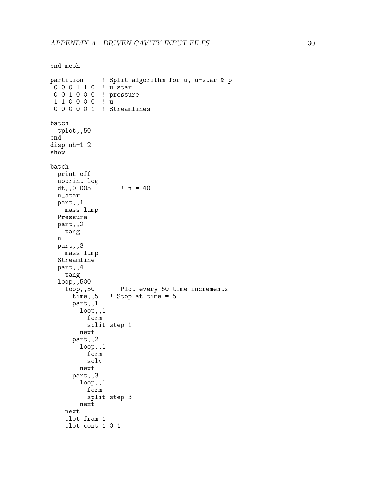```
end mesh
partition ! Split algorithm for u, u-star & p
0 0 0 1 1 0 ! u-star
0 0 1 0 0 0 ! pressure
1 1 0 0 0 0 ! u
 0 0 0 0 0 1 ! Streamlines
batch
  tplot,,50
end
disp nh+1 2
show
batch
 print off
 noprint log
 dt,,0.005 ! n = 40
! u_star
  part,,1
   mass lump
! Pressure
  part,,2
    tang
! u
  part,,3
   mass lump
! Streamline
  part,,4
    tang
  loop,,500
    loop,,50 ! Plot every 50 time increments<br>time,,5 ! Stop at time = 5
               ! Stop at time = 5part,,1
        loop,,1
          form
          split step 1
        next
      part,,2
        loop,,1
          form
          solv
        next
      part,,3
        loop,,1
          form
          split step 3
        next
    next
    plot fram 1
    plot cont 1 0 1
```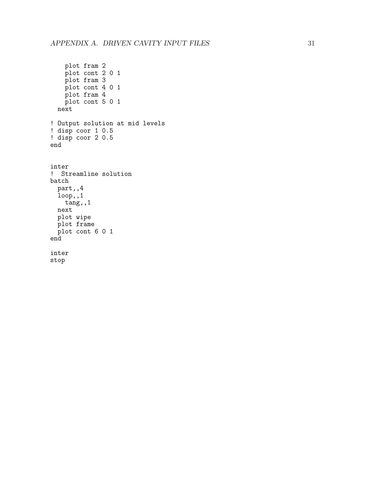```
plot fram 2
   plot cont 2 0 1
   plot fram 3
   plot cont 4 0 1
   plot fram 4
   plot cont 5 0 1
 next
! Output solution at mid levels
! disp coor 1 0.5
! disp coor 2 0.5
end
inter
! Streamline solution
batch
 part,,4
 loop,,1
   tang,,1
 next
 plot wipe
 plot frame
 plot cont 6 0 1
end
inter
stop
```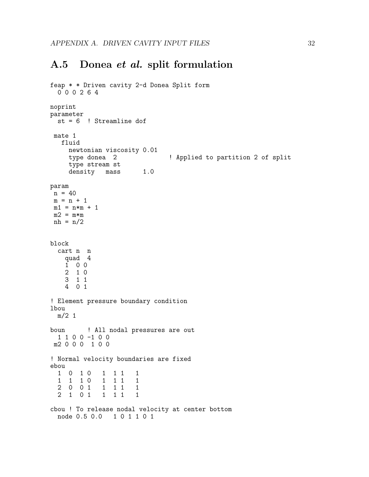### <span id="page-35-1"></span><span id="page-35-0"></span>A.5 Donea et al. split formulation

```
feap * * Driven cavity 2-d Donea Split form
  0 0 0 2 6 4
noprint
parameter
  st = 6 ! Streamline dof
 mate 1
   fluid
     newtonian viscosity 0.01
     type donea 2 \qquad ! Applied to partition 2 of split
     type stream st
     density mass 1.0
param
 n = 40m = n + 1m1 = n*m + 1m2 = m*mnh = n/2block
  cart n n
    quad 4
    1 0 0
    2 1 0
    3 1 1
    4 0 1
! Element pressure boundary condition
lbou
  m/2 1
boun ! All nodal pressures are out
  1 1 0 0 -1 0 0
m2 0 0 0 1 0 0
! Normal velocity boundaries are fixed
ebou
  1 0 1 0 1 1 1 1
  1 1 1 0 1 1 1 1
  \begin{array}{ccccccccc}\n2 & 0 & 0 & 1 & 1 & 1 & 1 & 1\\
2 & 1 & 0 & 1 & 1 & 1 & 1 & 1\n\end{array}2 \t1 \t0 \t1cbou ! To release nodal velocity at center bottom
  node 0.5 0.0 1 0 1 1 0 1
```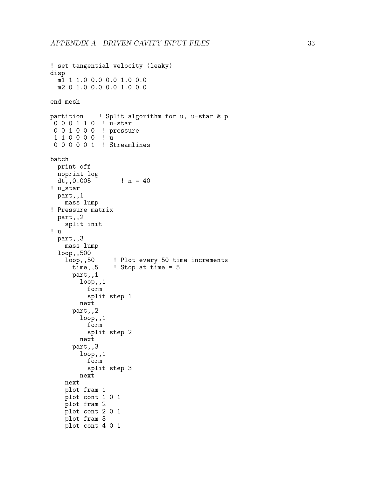```
! set tangential velocity (leaky)
disp
 m1 1 1.0 0.0 0.0 1.0 0.0
 m2 0 1.0 0.0 0.0 1.0 0.0
end mesh
partition ! Split algorithm for u, u-star & p
0 0 0 1 1 0 ! u-star
0 0 1 0 0 0 ! pressure
1 1 0 0 0 0 ! u
0 0 0 0 0 1 ! Streamlines
batch
 print off
 noprint log
 dt,,0.005 ! n = 40
! u_star
 part,,1
   mass lump
! Pressure matrix
 part,,2
    split init
! u
  part,,3
   mass lump
  loop,,500<br>loop,,50
                 ! Plot every 50 time increments
      time,,5 ! Stop at time = 5
      part,,1
        loop,,1
          form
          split step 1
        next
      part,,2
        loop,,1
          form
          split step 2
        next
      part,,3
        loop,,1
          form
          split step 3
        next
   next
   plot fram 1
   plot cont 1 0 1
    plot fram 2
   plot cont 2 0 1
   plot fram 3
   plot cont 4 0 1
```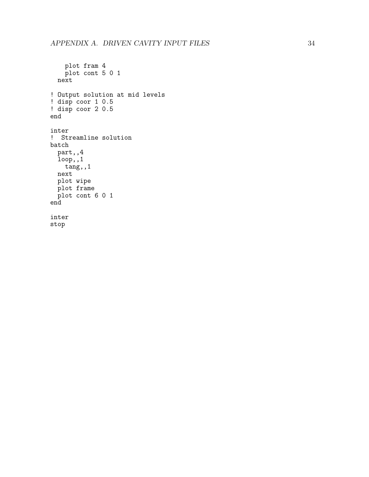```
plot fram 4
   plot cont 5 0 1
  next
! Output solution at mid levels
! disp coor 1 0.5
! disp coor 2 0.5
end
inter
! Streamline solution
batch
 part,,4
  loop,,1
   tang,,1
 next
 plot wipe
 plot frame
 plot cont 6 0 1
end
inter
stop
```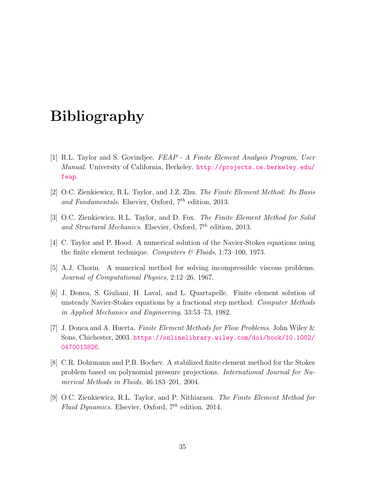## Bibliography

- <span id="page-38-0"></span>[1] R.L. Taylor and S. Govindjee. FEAP - A Finite Element Analysis Program, User Manual. University of California, Berkeley. [http://projects.ce.berkeley.edu/](http://projects.ce.berkeley.edu/feap) [feap](http://projects.ce.berkeley.edu/feap).
- <span id="page-38-1"></span>[2] O.C. Zienkiewicz, R.L. Taylor, and J.Z. Zhu. The Finite Element Method: Its Basis and Fundamentals. Elsevier, Oxford,  $7<sup>th</sup>$  edition, 2013.
- <span id="page-38-2"></span>[3] O.C. Zienkiewicz, R.L. Taylor, and D. Fox. The Finite Element Method for Solid and Structural Mechanics. Elsevier, Oxford,  $7<sup>th</sup>$  edition, 2013.
- <span id="page-38-3"></span>[4] C. Taylor and P. Hood. A numerical solution of the Navier-Stokes equations using the finite element technique. Computers  $\mathscr B$  Fluids, 1:73–100, 1973.
- <span id="page-38-4"></span>[5] A.J. Chorin. A numerical method for solving incompressible viscous problems. Journal of Computational Physics, 2:12–26, 1967.
- <span id="page-38-5"></span>[6] J. Donea, S. Giuliani, H. Laval, and L. Quartapelle. Finite element solution of unsteady Navier-Stokes equations by a fractional step method. Computer Methods in Applied Mechanics and Engineering, 33:53–73, 1982.
- <span id="page-38-6"></span>[7] J. Donea and A. Huerta. Finite Element Methods for Flow Problems. John Wiley & Sons, Chichester, 2003. [https://onlinelibrary.wiley.com/doi/book/10.1002/](https://onlinelibrary.wiley.com/doi/book/10.1002/0470013826) [0470013826](https://onlinelibrary.wiley.com/doi/book/10.1002/0470013826).
- <span id="page-38-7"></span>[8] C.R. Dohrmann and P.B. Bochev. A stabilized finite element method for the Stokes problem based on polynomial pressure projections. International Journal for Numerical Methods in Fluids, 46:183–201, 2004.
- <span id="page-38-8"></span>[9] O.C. Zienkiewicz, R.L. Taylor, and P. Nithiarasu. The Finite Element Method for Fluid Dynamics. Elsevier, Oxford,  $7<sup>th</sup>$  edition, 2014.